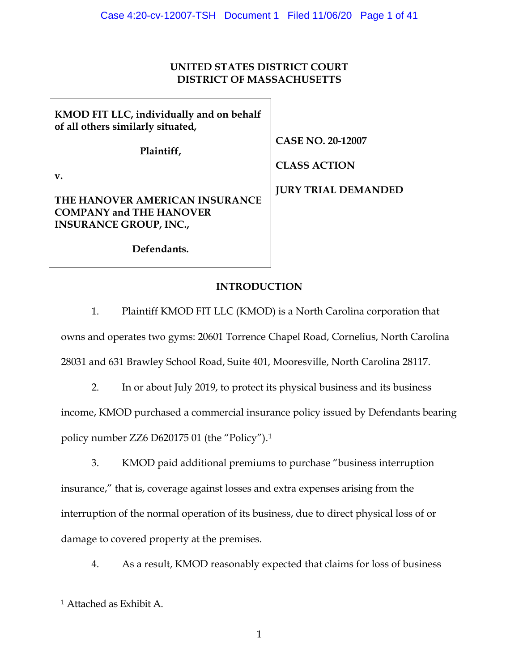# **UNITED STATES DISTRICT COURT DISTRICT OF MASSACHUSETTS**

| KMOD FIT LLC, individually and on behalf<br>of all others similarly situated,                     |                            |
|---------------------------------------------------------------------------------------------------|----------------------------|
| Plaintiff,                                                                                        | <b>CASE NO. 20-12007</b>   |
|                                                                                                   | <b>CLASS ACTION</b>        |
| v.                                                                                                |                            |
| THE HANOVER AMERICAN INSURANCE<br><b>COMPANY and THE HANOVER</b><br><b>INSURANCE GROUP, INC.,</b> | <b>JURY TRIAL DEMANDED</b> |

**Defendants.**

# **INTRODUCTION**

1. Plaintiff KMOD FIT LLC (KMOD) is a North Carolina corporation that owns and operates two gyms: 20601 Torrence Chapel Road, Cornelius, North Carolina 28031 and 631 Brawley School Road, Suite 401, Mooresville, North Carolina 28117.

2. In or about July 2019, to protect its physical business and its business income, KMOD purchased a commercial insurance policy issued by Defendants bearing policy number ZZ6 D620175 01 (the "Policy").[1](#page-0-0)

3. KMOD paid additional premiums to purchase "business interruption insurance," that is, coverage against losses and extra expenses arising from the interruption of the normal operation of its business, due to direct physical loss of or damage to covered property at the premises.

4. As a result, KMOD reasonably expected that claims for loss of business

<span id="page-0-0"></span><sup>1</sup> Attached as Exhibit A.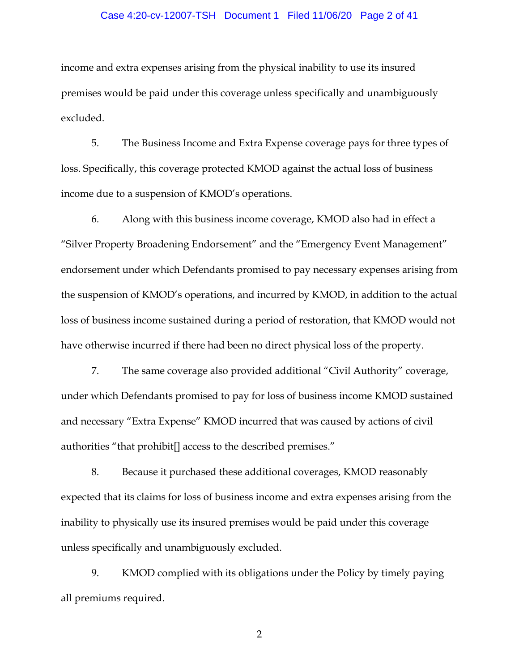#### Case 4:20-cv-12007-TSH Document 1 Filed 11/06/20 Page 2 of 41

income and extra expenses arising from the physical inability to use its insured premises would be paid under this coverage unless specifically and unambiguously excluded.

5. The Business Income and Extra Expense coverage pays for three types of loss. Specifically, this coverage protected KMOD against the actual loss of business income due to a suspension of KMOD's operations.

6. Along with this business income coverage, KMOD also had in effect a "Silver Property Broadening Endorsement" and the "Emergency Event Management" endorsement under which Defendants promised to pay necessary expenses arising from the suspension of KMOD's operations, and incurred by KMOD, in addition to the actual loss of business income sustained during a period of restoration, that KMOD would not have otherwise incurred if there had been no direct physical loss of the property.

7. The same coverage also provided additional "Civil Authority" coverage, under which Defendants promised to pay for loss of business income KMOD sustained and necessary "Extra Expense" KMOD incurred that was caused by actions of civil authorities "that prohibit[] access to the described premises."

8. Because it purchased these additional coverages, KMOD reasonably expected that its claims for loss of business income and extra expenses arising from the inability to physically use its insured premises would be paid under this coverage unless specifically and unambiguously excluded.

9. KMOD complied with its obligations under the Policy by timely paying all premiums required.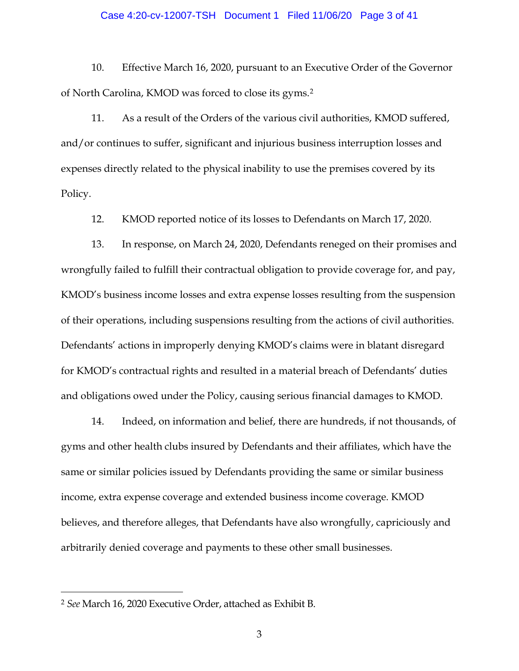#### Case 4:20-cv-12007-TSH Document 1 Filed 11/06/20 Page 3 of 41

10. Effective March 16, 2020, pursuant to an Executive Order of the Governor of North Carolina, KMOD was forced to close its gyms.[2](#page-2-0)

11. As a result of the Orders of the various civil authorities, KMOD suffered, and/or continues to suffer, significant and injurious business interruption losses and expenses directly related to the physical inability to use the premises covered by its Policy.

12. KMOD reported notice of its losses to Defendants on March 17, 2020.

13. In response, on March 24, 2020, Defendants reneged on their promises and wrongfully failed to fulfill their contractual obligation to provide coverage for, and pay, KMOD's business income losses and extra expense losses resulting from the suspension of their operations, including suspensions resulting from the actions of civil authorities. Defendants' actions in improperly denying KMOD's claims were in blatant disregard for KMOD's contractual rights and resulted in a material breach of Defendants' duties and obligations owed under the Policy, causing serious financial damages to KMOD.

14. Indeed, on information and belief, there are hundreds, if not thousands, of gyms and other health clubs insured by Defendants and their affiliates, which have the same or similar policies issued by Defendants providing the same or similar business income, extra expense coverage and extended business income coverage. KMOD believes, and therefore alleges, that Defendants have also wrongfully, capriciously and arbitrarily denied coverage and payments to these other small businesses.

<span id="page-2-0"></span><sup>2</sup> *See* March 16, 2020 Executive Order, attached as Exhibit B.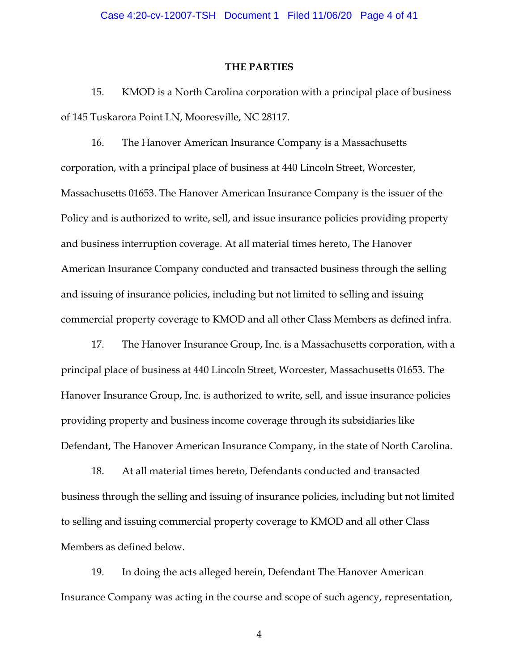#### **THE PARTIES**

15. KMOD is a North Carolina corporation with a principal place of business of 145 Tuskarora Point LN, Mooresville, NC 28117.

16. The Hanover American Insurance Company is a Massachusetts corporation, with a principal place of business at 440 Lincoln Street, Worcester, Massachusetts 01653. The Hanover American Insurance Company is the issuer of the Policy and is authorized to write, sell, and issue insurance policies providing property and business interruption coverage. At all material times hereto, The Hanover American Insurance Company conducted and transacted business through the selling and issuing of insurance policies, including but not limited to selling and issuing commercial property coverage to KMOD and all other Class Members as defined infra.

17. The Hanover Insurance Group, Inc. is a Massachusetts corporation, with a principal place of business at 440 Lincoln Street, Worcester, Massachusetts 01653. The Hanover Insurance Group, Inc. is authorized to write, sell, and issue insurance policies providing property and business income coverage through its subsidiaries like Defendant, The Hanover American Insurance Company, in the state of North Carolina.

18. At all material times hereto, Defendants conducted and transacted business through the selling and issuing of insurance policies, including but not limited to selling and issuing commercial property coverage to KMOD and all other Class Members as defined below.

19. In doing the acts alleged herein, Defendant The Hanover American Insurance Company was acting in the course and scope of such agency, representation,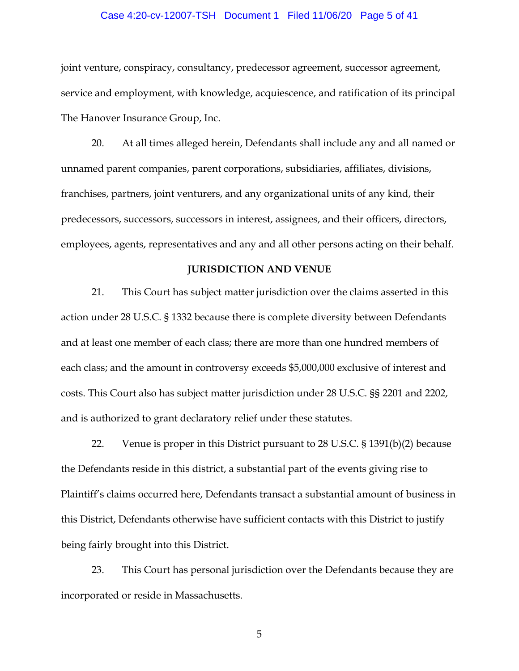#### Case 4:20-cv-12007-TSH Document 1 Filed 11/06/20 Page 5 of 41

joint venture, conspiracy, consultancy, predecessor agreement, successor agreement, service and employment, with knowledge, acquiescence, and ratification of its principal The Hanover Insurance Group, Inc.

20. At all times alleged herein, Defendants shall include any and all named or unnamed parent companies, parent corporations, subsidiaries, affiliates, divisions, franchises, partners, joint venturers, and any organizational units of any kind, their predecessors, successors, successors in interest, assignees, and their officers, directors, employees, agents, representatives and any and all other persons acting on their behalf.

#### **JURISDICTION AND VENUE**

21. This Court has subject matter jurisdiction over the claims asserted in this action under 28 U.S.C. § 1332 because there is complete diversity between Defendants and at least one member of each class; there are more than one hundred members of each class; and the amount in controversy exceeds \$5,000,000 exclusive of interest and costs. This Court also has subject matter jurisdiction under 28 U.S.C. §§ 2201 and 2202, and is authorized to grant declaratory relief under these statutes.

22. Venue is proper in this District pursuant to 28 U.S.C. § 1391(b)(2) because the Defendants reside in this district, a substantial part of the events giving rise to Plaintiff's claims occurred here, Defendants transact a substantial amount of business in this District, Defendants otherwise have sufficient contacts with this District to justify being fairly brought into this District.

23. This Court has personal jurisdiction over the Defendants because they are incorporated or reside in Massachusetts.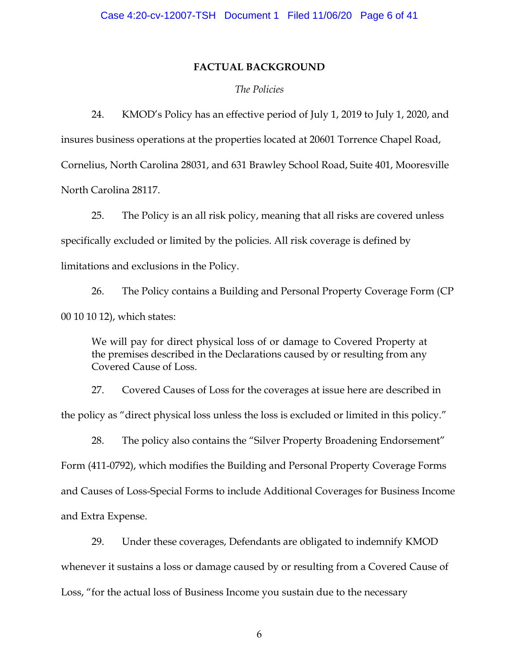#### **FACTUAL BACKGROUND**

#### *The Policies*

24. KMOD's Policy has an effective period of July 1, 2019 to July 1, 2020, and

insures business operations at the properties located at 20601 Torrence Chapel Road, Cornelius, North Carolina 28031, and 631 Brawley School Road, Suite 401, Mooresville North Carolina 28117.

25. The Policy is an all risk policy, meaning that all risks are covered unless specifically excluded or limited by the policies. All risk coverage is defined by limitations and exclusions in the Policy.

26. The Policy contains a Building and Personal Property Coverage Form (CP 00 10 10 12), which states:

We will pay for direct physical loss of or damage to Covered Property at the premises described in the Declarations caused by or resulting from any Covered Cause of Loss.

27. Covered Causes of Loss for the coverages at issue here are described in the policy as "direct physical loss unless the loss is excluded or limited in this policy."

28. The policy also contains the "Silver Property Broadening Endorsement" Form (411-0792), which modifies the Building and Personal Property Coverage Forms and Causes of Loss-Special Forms to include Additional Coverages for Business Income and Extra Expense.

29. Under these coverages, Defendants are obligated to indemnify KMOD whenever it sustains a loss or damage caused by or resulting from a Covered Cause of Loss, "for the actual loss of Business Income you sustain due to the necessary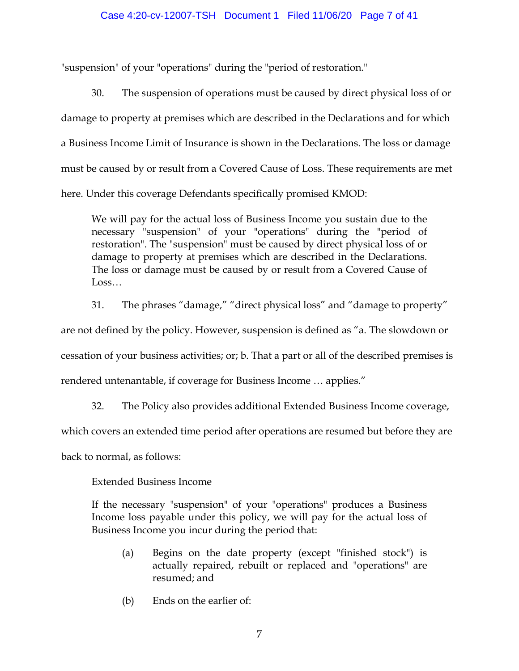#### Case 4:20-cv-12007-TSH Document 1 Filed 11/06/20 Page 7 of 41

"suspension" of your "operations" during the "period of restoration."

30. The suspension of operations must be caused by direct physical loss of or damage to property at premises which are described in the Declarations and for which a Business Income Limit of Insurance is shown in the Declarations. The loss or damage must be caused by or result from a Covered Cause of Loss. These requirements are met here. Under this coverage Defendants specifically promised KMOD:

We will pay for the actual loss of Business Income you sustain due to the necessary "suspension" of your "operations" during the "period of restoration". The "suspension" must be caused by direct physical loss of or damage to property at premises which are described in the Declarations. The loss or damage must be caused by or result from a Covered Cause of Loss…

31. The phrases "damage," "direct physical loss" and "damage to property" are not defined by the policy. However, suspension is defined as "a. The slowdown or cessation of your business activities; or; b. That a part or all of the described premises is rendered untenantable, if coverage for Business Income … applies."

32. The Policy also provides additional Extended Business Income coverage,

which covers an extended time period after operations are resumed but before they are

back to normal, as follows:

Extended Business Income

If the necessary "suspension" of your "operations" produces a Business Income loss payable under this policy, we will pay for the actual loss of Business Income you incur during the period that:

- (a) Begins on the date property (except "finished stock") is actually repaired, rebuilt or replaced and "operations" are resumed; and
- (b) Ends on the earlier of: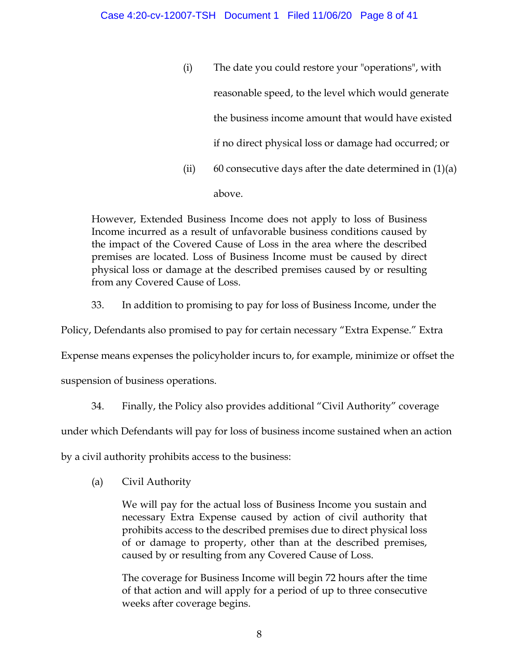(i) The date you could restore your "operations", with reasonable speed, to the level which would generate the business income amount that would have existed if no direct physical loss or damage had occurred; or (ii) 60 consecutive days after the date determined in  $(1)(a)$ above.

However, Extended Business Income does not apply to loss of Business Income incurred as a result of unfavorable business conditions caused by the impact of the Covered Cause of Loss in the area where the described premises are located. Loss of Business Income must be caused by direct physical loss or damage at the described premises caused by or resulting from any Covered Cause of Loss.

33. In addition to promising to pay for loss of Business Income, under the

Policy, Defendants also promised to pay for certain necessary "Extra Expense." Extra

Expense means expenses the policyholder incurs to, for example, minimize or offset the

suspension of business operations.

34. Finally, the Policy also provides additional "Civil Authority" coverage

under which Defendants will pay for loss of business income sustained when an action

by a civil authority prohibits access to the business:

(a) Civil Authority

We will pay for the actual loss of Business Income you sustain and necessary Extra Expense caused by action of civil authority that prohibits access to the described premises due to direct physical loss of or damage to property, other than at the described premises, caused by or resulting from any Covered Cause of Loss.

The coverage for Business Income will begin 72 hours after the time of that action and will apply for a period of up to three consecutive weeks after coverage begins.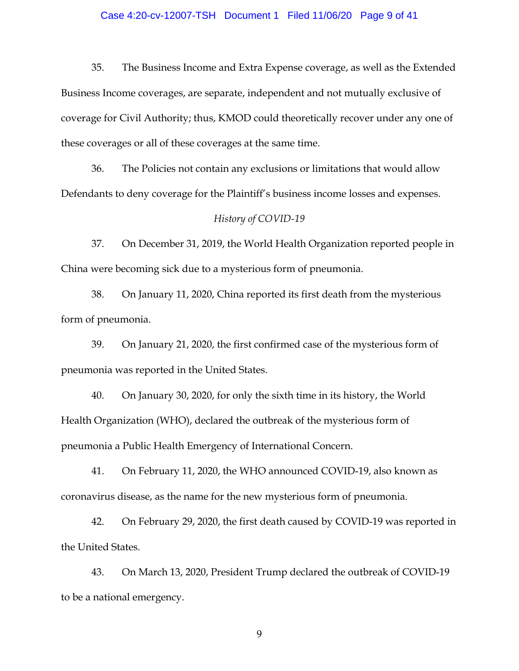#### Case 4:20-cv-12007-TSH Document 1 Filed 11/06/20 Page 9 of 41

35. The Business Income and Extra Expense coverage, as well as the Extended Business Income coverages, are separate, independent and not mutually exclusive of coverage for Civil Authority; thus, KMOD could theoretically recover under any one of these coverages or all of these coverages at the same time.

36. The Policies not contain any exclusions or limitations that would allow Defendants to deny coverage for the Plaintiff's business income losses and expenses.

#### *History of COVID-19*

37. On December 31, 2019, the World Health Organization reported people in China were becoming sick due to a mysterious form of pneumonia.

38. On January 11, 2020, China reported its first death from the mysterious form of pneumonia.

39. On January 21, 2020, the first confirmed case of the mysterious form of pneumonia was reported in the United States.

40. On January 30, 2020, for only the sixth time in its history, the World Health Organization (WHO), declared the outbreak of the mysterious form of pneumonia a Public Health Emergency of International Concern.

41. On February 11, 2020, the WHO announced COVID-19, also known as coronavirus disease, as the name for the new mysterious form of pneumonia.

42. On February 29, 2020, the first death caused by COVID-19 was reported in the United States.

43. On March 13, 2020, President Trump declared the outbreak of COVID-19 to be a national emergency.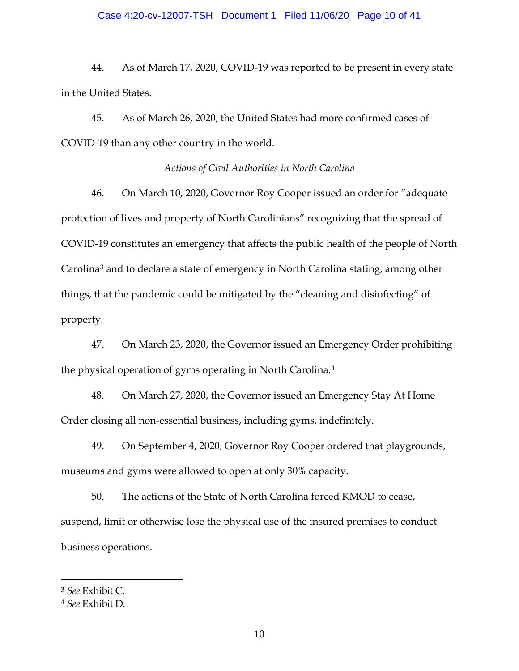## Case 4:20-cv-12007-TSH Document 1 Filed 11/06/20 Page 10 of 41

44. As of March 17, 2020, COVID-19 was reported to be present in every state in the United States.

45. As of March 26, 2020, the United States had more confirmed cases of COVID-19 than any other country in the world.

#### *Actions of Civil Authorities in North Carolina*

46. On March 10, 2020, Governor Roy Cooper issued an order for "adequate protection of lives and property of North Carolinians" recognizing that the spread of COVID-19 constitutes an emergency that affects the public health of the people of North Carolina[3](#page-9-0) and to declare a state of emergency in North Carolina stating, among other things, that the pandemic could be mitigated by the "cleaning and disinfecting" of property.

47. On March 23, 2020, the Governor issued an Emergency Order prohibiting the physical operation of gyms operating in North Carolina.[4](#page-9-1)

48. On March 27, 2020, the Governor issued an Emergency Stay At Home Order closing all non-essential business, including gyms, indefinitely.

49. On September 4, 2020, Governor Roy Cooper ordered that playgrounds, museums and gyms were allowed to open at only 30% capacity.

50. The actions of the State of North Carolina forced KMOD to cease, suspend, limit or otherwise lose the physical use of the insured premises to conduct business operations.

<span id="page-9-0"></span><sup>3</sup> *See* Exhibit C.

<span id="page-9-1"></span><sup>4</sup> *See* Exhibit D.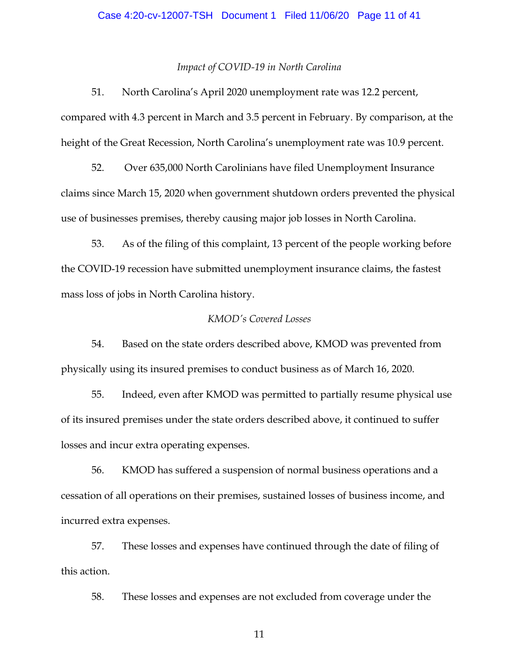#### Case 4:20-cv-12007-TSH Document 1 Filed 11/06/20 Page 11 of 41

#### *Impact of COVID-19 in North Carolina*

51. North Carolina's April 2020 unemployment rate was 12.2 percent, compared with 4.3 percent in March and 3.5 percent in February. By comparison, at the height of the Great Recession, North Carolina's unemployment rate was 10.9 percent.

52. Over 635,000 North Carolinians have filed Unemployment Insurance claims since March 15, 2020 when government shutdown orders prevented the physical use of businesses premises, thereby causing major job losses in North Carolina.

53. As of the filing of this complaint, 13 percent of the people working before the COVID-19 recession have submitted unemployment insurance claims, the fastest mass loss of jobs in North Carolina history.

#### *KMOD's Covered Losses*

54. Based on the state orders described above, KMOD was prevented from physically using its insured premises to conduct business as of March 16, 2020.

55. Indeed, even after KMOD was permitted to partially resume physical use of its insured premises under the state orders described above, it continued to suffer losses and incur extra operating expenses.

56. KMOD has suffered a suspension of normal business operations and a cessation of all operations on their premises, sustained losses of business income, and incurred extra expenses.

57. These losses and expenses have continued through the date of filing of this action.

58. These losses and expenses are not excluded from coverage under the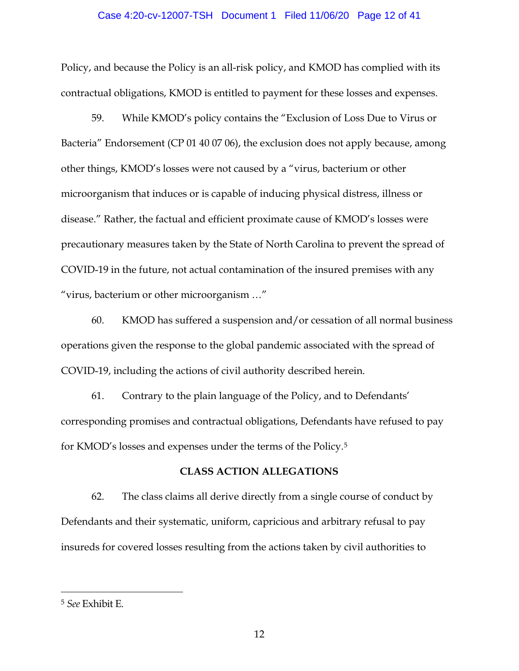## Case 4:20-cv-12007-TSH Document 1 Filed 11/06/20 Page 12 of 41

Policy, and because the Policy is an all-risk policy, and KMOD has complied with its contractual obligations, KMOD is entitled to payment for these losses and expenses.

59. While KMOD's policy contains the "Exclusion of Loss Due to Virus or Bacteria" Endorsement (CP 01 40 07 06), the exclusion does not apply because, among other things, KMOD's losses were not caused by a "virus, bacterium or other microorganism that induces or is capable of inducing physical distress, illness or disease." Rather, the factual and efficient proximate cause of KMOD's losses were precautionary measures taken by the State of North Carolina to prevent the spread of COVID-19 in the future, not actual contamination of the insured premises with any "virus, bacterium or other microorganism …"

60. KMOD has suffered a suspension and/or cessation of all normal business operations given the response to the global pandemic associated with the spread of COVID-19, including the actions of civil authority described herein.

61. Contrary to the plain language of the Policy, and to Defendants' corresponding promises and contractual obligations, Defendants have refused to pay for KMOD's losses and expenses under the terms of the Policy.[5](#page-11-0)

#### **CLASS ACTION ALLEGATIONS**

62. The class claims all derive directly from a single course of conduct by Defendants and their systematic, uniform, capricious and arbitrary refusal to pay insureds for covered losses resulting from the actions taken by civil authorities to

<span id="page-11-0"></span><sup>5</sup> *See* Exhibit E.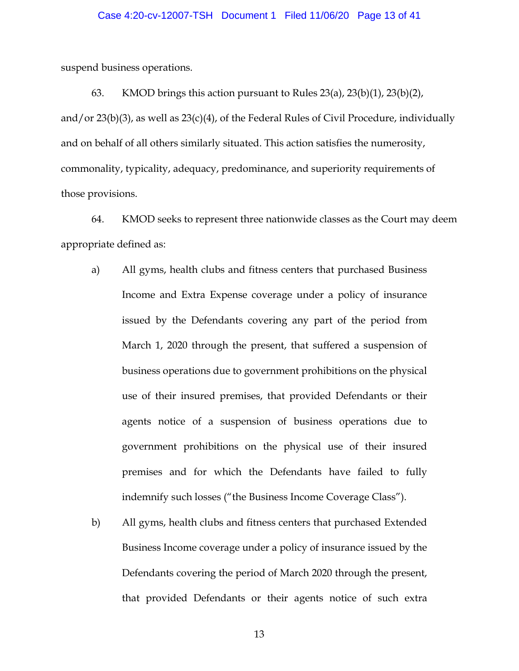#### Case 4:20-cv-12007-TSH Document 1 Filed 11/06/20 Page 13 of 41

suspend business operations.

63. KMOD brings this action pursuant to Rules 23(a), 23(b)(1), 23(b)(2), and/or  $23(b)(3)$ , as well as  $23(c)(4)$ , of the Federal Rules of Civil Procedure, individually and on behalf of all others similarly situated. This action satisfies the numerosity, commonality, typicality, adequacy, predominance, and superiority requirements of those provisions.

64. KMOD seeks to represent three nationwide classes as the Court may deem appropriate defined as:

- a) All gyms, health clubs and fitness centers that purchased Business Income and Extra Expense coverage under a policy of insurance issued by the Defendants covering any part of the period from March 1, 2020 through the present, that suffered a suspension of business operations due to government prohibitions on the physical use of their insured premises, that provided Defendants or their agents notice of a suspension of business operations due to government prohibitions on the physical use of their insured premises and for which the Defendants have failed to fully indemnify such losses ("the Business Income Coverage Class").
- b) All gyms, health clubs and fitness centers that purchased Extended Business Income coverage under a policy of insurance issued by the Defendants covering the period of March 2020 through the present, that provided Defendants or their agents notice of such extra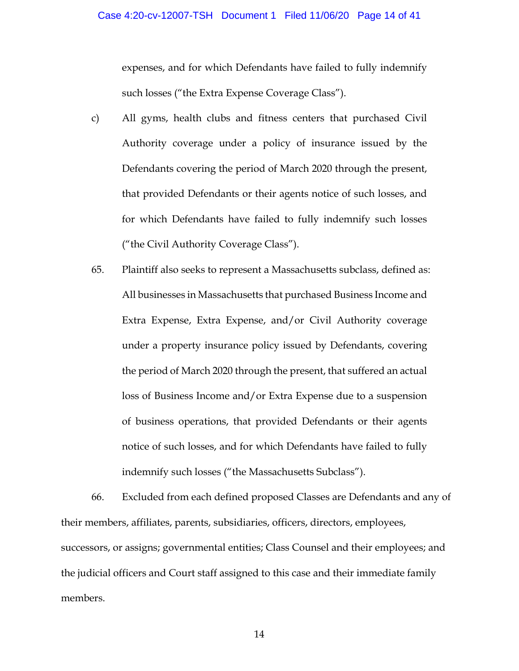expenses, and for which Defendants have failed to fully indemnify such losses ("the Extra Expense Coverage Class").

- c) All gyms, health clubs and fitness centers that purchased Civil Authority coverage under a policy of insurance issued by the Defendants covering the period of March 2020 through the present, that provided Defendants or their agents notice of such losses, and for which Defendants have failed to fully indemnify such losses ("the Civil Authority Coverage Class").
- 65. Plaintiff also seeks to represent a Massachusetts subclass, defined as: All businesses in Massachusetts that purchased Business Income and Extra Expense, Extra Expense, and/or Civil Authority coverage under a property insurance policy issued by Defendants, covering the period of March 2020 through the present, that suffered an actual loss of Business Income and/or Extra Expense due to a suspension of business operations, that provided Defendants or their agents notice of such losses, and for which Defendants have failed to fully indemnify such losses ("the Massachusetts Subclass").

66. Excluded from each defined proposed Classes are Defendants and any of their members, affiliates, parents, subsidiaries, officers, directors, employees, successors, or assigns; governmental entities; Class Counsel and their employees; and the judicial officers and Court staff assigned to this case and their immediate family members.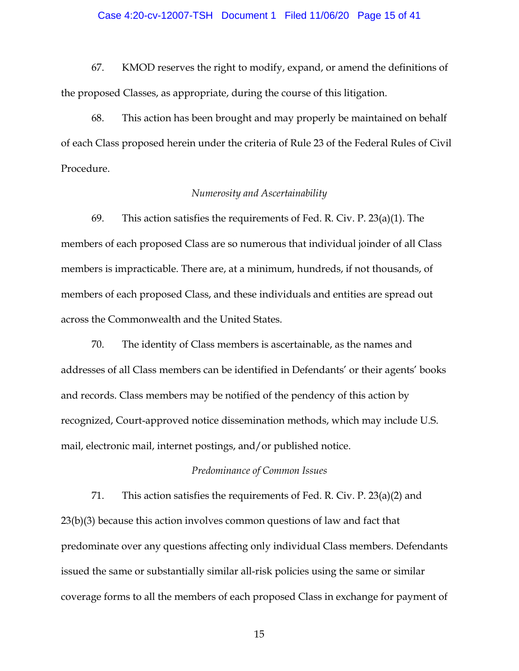#### Case 4:20-cv-12007-TSH Document 1 Filed 11/06/20 Page 15 of 41

67. KMOD reserves the right to modify, expand, or amend the definitions of the proposed Classes, as appropriate, during the course of this litigation.

68. This action has been brought and may properly be maintained on behalf of each Class proposed herein under the criteria of Rule 23 of the Federal Rules of Civil Procedure.

#### *Numerosity and Ascertainability*

69. This action satisfies the requirements of Fed. R. Civ. P. 23(a)(1). The members of each proposed Class are so numerous that individual joinder of all Class members is impracticable. There are, at a minimum, hundreds, if not thousands, of members of each proposed Class, and these individuals and entities are spread out across the Commonwealth and the United States.

70. The identity of Class members is ascertainable, as the names and addresses of all Class members can be identified in Defendants' or their agents' books and records. Class members may be notified of the pendency of this action by recognized, Court-approved notice dissemination methods, which may include U.S. mail, electronic mail, internet postings, and/or published notice.

### *Predominance of Common Issues*

71. This action satisfies the requirements of Fed. R. Civ. P. 23(a)(2) and 23(b)(3) because this action involves common questions of law and fact that predominate over any questions affecting only individual Class members. Defendants issued the same or substantially similar all-risk policies using the same or similar coverage forms to all the members of each proposed Class in exchange for payment of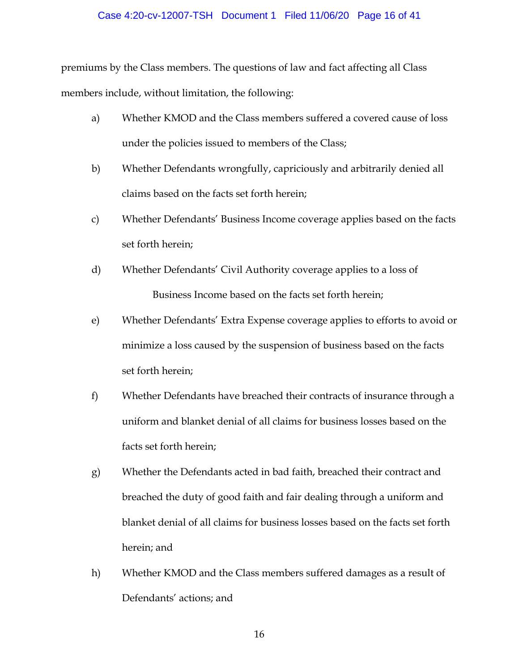#### Case 4:20-cv-12007-TSH Document 1 Filed 11/06/20 Page 16 of 41

premiums by the Class members. The questions of law and fact affecting all Class members include, without limitation, the following:

- a) Whether KMOD and the Class members suffered a covered cause of loss under the policies issued to members of the Class;
- b) Whether Defendants wrongfully, capriciously and arbitrarily denied all claims based on the facts set forth herein;
- c) Whether Defendants' Business Income coverage applies based on the facts set forth herein;
- d) Whether Defendants' Civil Authority coverage applies to a loss of Business Income based on the facts set forth herein;
- e) Whether Defendants' Extra Expense coverage applies to efforts to avoid or minimize a loss caused by the suspension of business based on the facts set forth herein;
- f) Whether Defendants have breached their contracts of insurance through a uniform and blanket denial of all claims for business losses based on the facts set forth herein;
- g) Whether the Defendants acted in bad faith, breached their contract and breached the duty of good faith and fair dealing through a uniform and blanket denial of all claims for business losses based on the facts set forth herein; and
- h) Whether KMOD and the Class members suffered damages as a result of Defendants' actions; and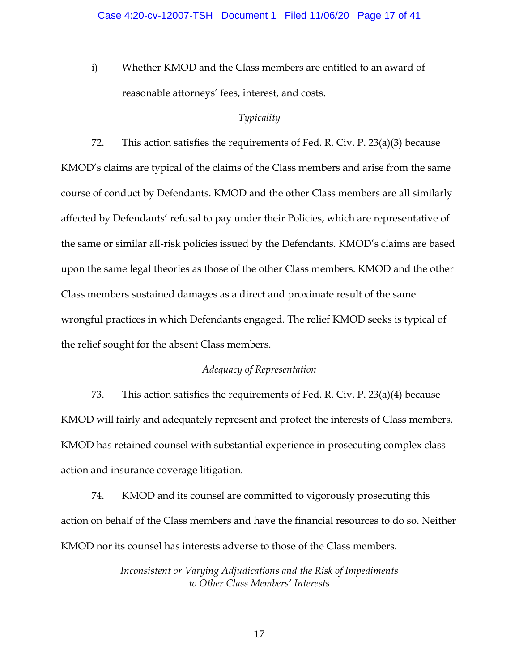i) Whether KMOD and the Class members are entitled to an award of reasonable attorneys' fees, interest, and costs.

## *Typicality*

72. This action satisfies the requirements of Fed. R. Civ. P. 23(a)(3) because KMOD's claims are typical of the claims of the Class members and arise from the same course of conduct by Defendants. KMOD and the other Class members are all similarly affected by Defendants' refusal to pay under their Policies, which are representative of the same or similar all-risk policies issued by the Defendants. KMOD's claims are based upon the same legal theories as those of the other Class members. KMOD and the other Class members sustained damages as a direct and proximate result of the same wrongful practices in which Defendants engaged. The relief KMOD seeks is typical of the relief sought for the absent Class members.

### *Adequacy of Representation*

73. This action satisfies the requirements of Fed. R. Civ. P. 23(a)(4) because KMOD will fairly and adequately represent and protect the interests of Class members. KMOD has retained counsel with substantial experience in prosecuting complex class action and insurance coverage litigation.

74. KMOD and its counsel are committed to vigorously prosecuting this action on behalf of the Class members and have the financial resources to do so. Neither KMOD nor its counsel has interests adverse to those of the Class members.

> *Inconsistent or Varying Adjudications and the Risk of Impediments to Other Class Members' Interests*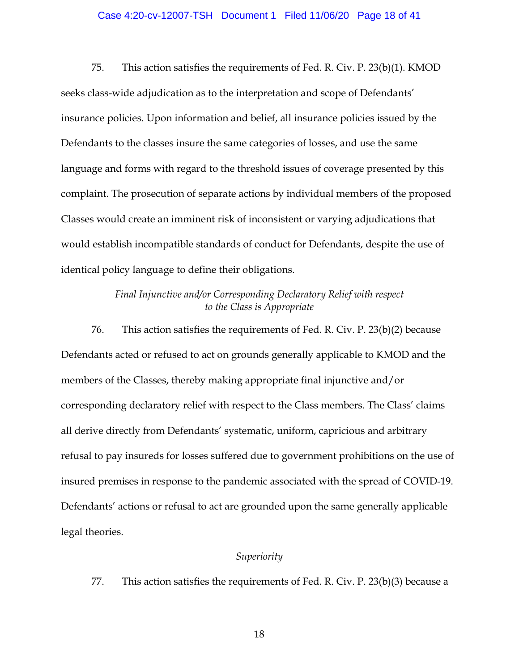## Case 4:20-cv-12007-TSH Document 1 Filed 11/06/20 Page 18 of 41

75. This action satisfies the requirements of Fed. R. Civ. P. 23(b)(1). KMOD seeks class-wide adjudication as to the interpretation and scope of Defendants' insurance policies. Upon information and belief, all insurance policies issued by the Defendants to the classes insure the same categories of losses, and use the same language and forms with regard to the threshold issues of coverage presented by this complaint. The prosecution of separate actions by individual members of the proposed Classes would create an imminent risk of inconsistent or varying adjudications that would establish incompatible standards of conduct for Defendants, despite the use of identical policy language to define their obligations.

> *Final Injunctive and/or Corresponding Declaratory Relief with respect to the Class is Appropriate*

76. This action satisfies the requirements of Fed. R. Civ. P. 23(b)(2) because Defendants acted or refused to act on grounds generally applicable to KMOD and the members of the Classes, thereby making appropriate final injunctive and/or corresponding declaratory relief with respect to the Class members. The Class' claims all derive directly from Defendants' systematic, uniform, capricious and arbitrary refusal to pay insureds for losses suffered due to government prohibitions on the use of insured premises in response to the pandemic associated with the spread of COVID-19. Defendants' actions or refusal to act are grounded upon the same generally applicable legal theories.

#### *Superiority*

77. This action satisfies the requirements of Fed. R. Civ. P. 23(b)(3) because a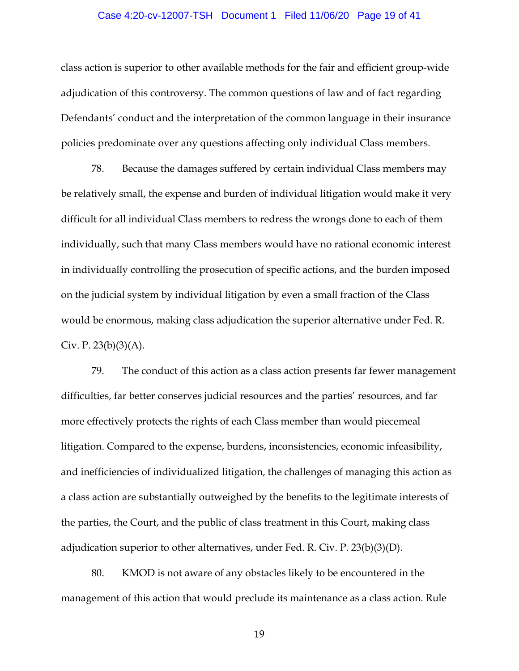## Case 4:20-cv-12007-TSH Document 1 Filed 11/06/20 Page 19 of 41

class action is superior to other available methods for the fair and efficient group-wide adjudication of this controversy. The common questions of law and of fact regarding Defendants' conduct and the interpretation of the common language in their insurance policies predominate over any questions affecting only individual Class members.

78. Because the damages suffered by certain individual Class members may be relatively small, the expense and burden of individual litigation would make it very difficult for all individual Class members to redress the wrongs done to each of them individually, such that many Class members would have no rational economic interest in individually controlling the prosecution of specific actions, and the burden imposed on the judicial system by individual litigation by even a small fraction of the Class would be enormous, making class adjudication the superior alternative under Fed. R. Civ. P.  $23(b)(3)(A)$ .

79. The conduct of this action as a class action presents far fewer management difficulties, far better conserves judicial resources and the parties' resources, and far more effectively protects the rights of each Class member than would piecemeal litigation. Compared to the expense, burdens, inconsistencies, economic infeasibility, and inefficiencies of individualized litigation, the challenges of managing this action as a class action are substantially outweighed by the benefits to the legitimate interests of the parties, the Court, and the public of class treatment in this Court, making class adjudication superior to other alternatives, under Fed. R. Civ. P.  $23(b)(3)(D)$ .

80. KMOD is not aware of any obstacles likely to be encountered in the management of this action that would preclude its maintenance as a class action. Rule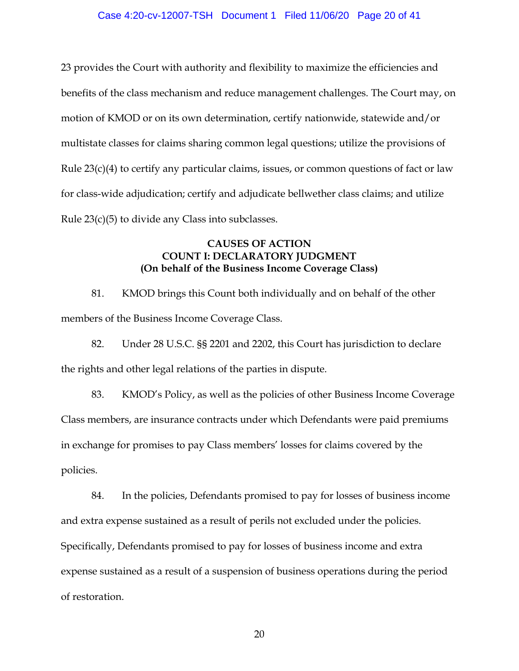## Case 4:20-cv-12007-TSH Document 1 Filed 11/06/20 Page 20 of 41

23 provides the Court with authority and flexibility to maximize the efficiencies and benefits of the class mechanism and reduce management challenges. The Court may, on motion of KMOD or on its own determination, certify nationwide, statewide and/or multistate classes for claims sharing common legal questions; utilize the provisions of Rule  $23(c)(4)$  to certify any particular claims, issues, or common questions of fact or law for class-wide adjudication; certify and adjudicate bellwether class claims; and utilize Rule 23(c)(5) to divide any Class into subclasses.

## **CAUSES OF ACTION COUNT I: DECLARATORY JUDGMENT (On behalf of the Business Income Coverage Class)**

81. KMOD brings this Count both individually and on behalf of the other members of the Business Income Coverage Class.

82. Under 28 U.S.C. §§ 2201 and 2202, this Court has jurisdiction to declare the rights and other legal relations of the parties in dispute.

83. KMOD's Policy, as well as the policies of other Business Income Coverage Class members, are insurance contracts under which Defendants were paid premiums in exchange for promises to pay Class members' losses for claims covered by the policies.

84. In the policies, Defendants promised to pay for losses of business income and extra expense sustained as a result of perils not excluded under the policies. Specifically, Defendants promised to pay for losses of business income and extra expense sustained as a result of a suspension of business operations during the period of restoration.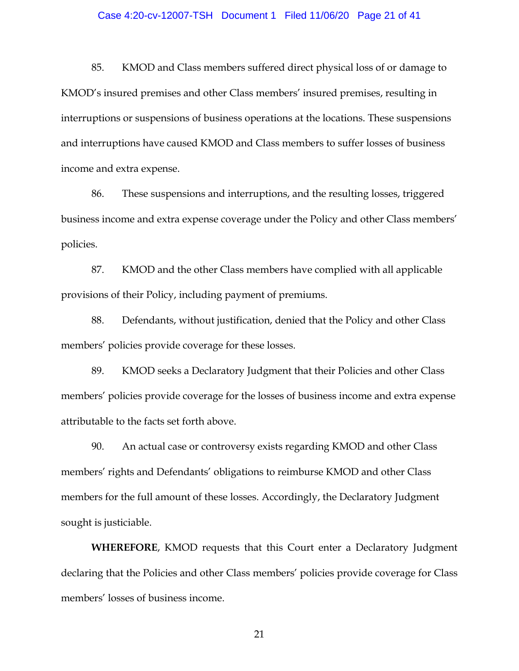#### Case 4:20-cv-12007-TSH Document 1 Filed 11/06/20 Page 21 of 41

85. KMOD and Class members suffered direct physical loss of or damage to KMOD's insured premises and other Class members' insured premises, resulting in interruptions or suspensions of business operations at the locations. These suspensions and interruptions have caused KMOD and Class members to suffer losses of business income and extra expense.

86. These suspensions and interruptions, and the resulting losses, triggered business income and extra expense coverage under the Policy and other Class members' policies.

87. KMOD and the other Class members have complied with all applicable provisions of their Policy, including payment of premiums.

88. Defendants, without justification, denied that the Policy and other Class members' policies provide coverage for these losses.

89. KMOD seeks a Declaratory Judgment that their Policies and other Class members' policies provide coverage for the losses of business income and extra expense attributable to the facts set forth above.

90. An actual case or controversy exists regarding KMOD and other Class members' rights and Defendants' obligations to reimburse KMOD and other Class members for the full amount of these losses. Accordingly, the Declaratory Judgment sought is justiciable.

**WHEREFORE**, KMOD requests that this Court enter a Declaratory Judgment declaring that the Policies and other Class members' policies provide coverage for Class members' losses of business income.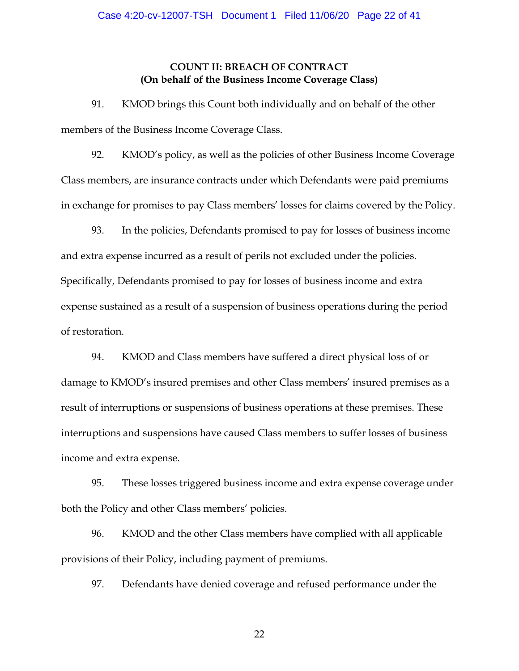## **COUNT II: BREACH OF CONTRACT (On behalf of the Business Income Coverage Class)**

91. KMOD brings this Count both individually and on behalf of the other members of the Business Income Coverage Class.

92. KMOD's policy, as well as the policies of other Business Income Coverage Class members, are insurance contracts under which Defendants were paid premiums in exchange for promises to pay Class members' losses for claims covered by the Policy.

93. In the policies, Defendants promised to pay for losses of business income and extra expense incurred as a result of perils not excluded under the policies. Specifically, Defendants promised to pay for losses of business income and extra expense sustained as a result of a suspension of business operations during the period of restoration.

94. KMOD and Class members have suffered a direct physical loss of or damage to KMOD's insured premises and other Class members' insured premises as a result of interruptions or suspensions of business operations at these premises. These interruptions and suspensions have caused Class members to suffer losses of business income and extra expense.

95. These losses triggered business income and extra expense coverage under both the Policy and other Class members' policies.

96. KMOD and the other Class members have complied with all applicable provisions of their Policy, including payment of premiums.

97. Defendants have denied coverage and refused performance under the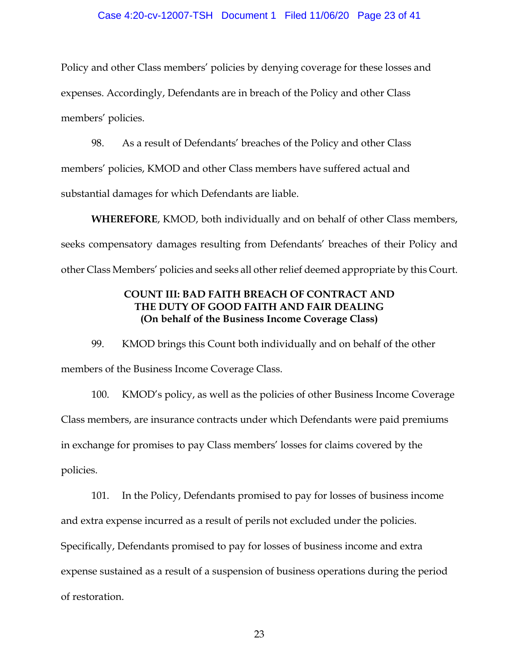## Case 4:20-cv-12007-TSH Document 1 Filed 11/06/20 Page 23 of 41

Policy and other Class members' policies by denying coverage for these losses and expenses. Accordingly, Defendants are in breach of the Policy and other Class members' policies.

98. As a result of Defendants' breaches of the Policy and other Class members' policies, KMOD and other Class members have suffered actual and substantial damages for which Defendants are liable.

**WHEREFORE**, KMOD, both individually and on behalf of other Class members, seeks compensatory damages resulting from Defendants' breaches of their Policy and other Class Members' policies and seeks all other relief deemed appropriate by this Court.

# **COUNT III: BAD FAITH BREACH OF CONTRACT AND THE DUTY OF GOOD FAITH AND FAIR DEALING (On behalf of the Business Income Coverage Class)**

99. KMOD brings this Count both individually and on behalf of the other members of the Business Income Coverage Class.

100. KMOD's policy, as well as the policies of other Business Income Coverage Class members, are insurance contracts under which Defendants were paid premiums in exchange for promises to pay Class members' losses for claims covered by the policies.

101. In the Policy, Defendants promised to pay for losses of business income and extra expense incurred as a result of perils not excluded under the policies. Specifically, Defendants promised to pay for losses of business income and extra expense sustained as a result of a suspension of business operations during the period of restoration.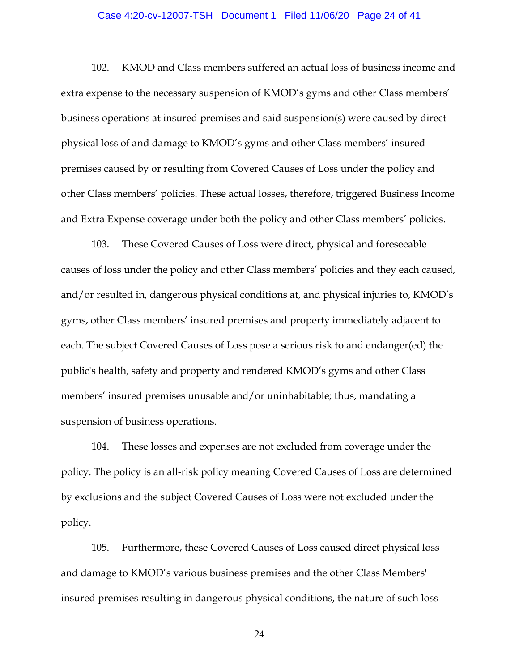## Case 4:20-cv-12007-TSH Document 1 Filed 11/06/20 Page 24 of 41

102. KMOD and Class members suffered an actual loss of business income and extra expense to the necessary suspension of KMOD's gyms and other Class members' business operations at insured premises and said suspension(s) were caused by direct physical loss of and damage to KMOD's gyms and other Class members' insured premises caused by or resulting from Covered Causes of Loss under the policy and other Class members' policies. These actual losses, therefore, triggered Business Income and Extra Expense coverage under both the policy and other Class members' policies.

103. These Covered Causes of Loss were direct, physical and foreseeable causes of loss under the policy and other Class members' policies and they each caused, and/or resulted in, dangerous physical conditions at, and physical injuries to, KMOD's gyms, other Class members' insured premises and property immediately adjacent to each. The subject Covered Causes of Loss pose a serious risk to and endanger(ed) the public's health, safety and property and rendered KMOD's gyms and other Class members' insured premises unusable and/or uninhabitable; thus, mandating a suspension of business operations.

104. These losses and expenses are not excluded from coverage under the policy. The policy is an all-risk policy meaning Covered Causes of Loss are determined by exclusions and the subject Covered Causes of Loss were not excluded under the policy.

105. Furthermore, these Covered Causes of Loss caused direct physical loss and damage to KMOD's various business premises and the other Class Members' insured premises resulting in dangerous physical conditions, the nature of such loss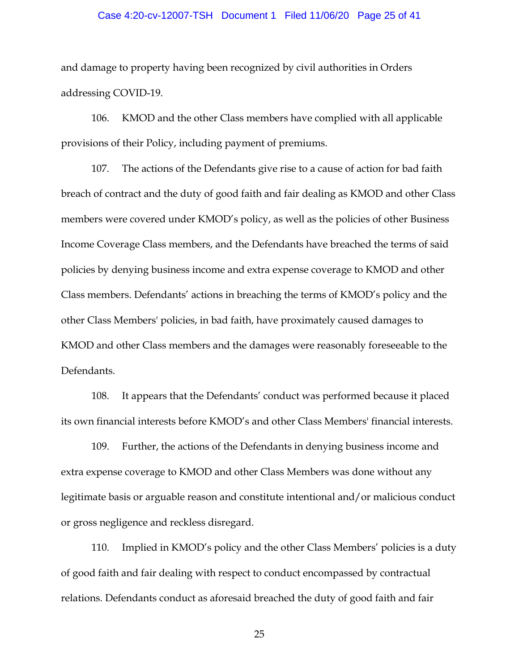## Case 4:20-cv-12007-TSH Document 1 Filed 11/06/20 Page 25 of 41

and damage to property having been recognized by civil authorities in Orders addressing COVID-19.

106. KMOD and the other Class members have complied with all applicable provisions of their Policy, including payment of premiums.

107. The actions of the Defendants give rise to a cause of action for bad faith breach of contract and the duty of good faith and fair dealing as KMOD and other Class members were covered under KMOD's policy, as well as the policies of other Business Income Coverage Class members, and the Defendants have breached the terms of said policies by denying business income and extra expense coverage to KMOD and other Class members. Defendants' actions in breaching the terms of KMOD's policy and the other Class Members' policies, in bad faith, have proximately caused damages to KMOD and other Class members and the damages were reasonably foreseeable to the Defendants.

108. It appears that the Defendants' conduct was performed because it placed its own financial interests before KMOD's and other Class Members' financial interests.

109. Further, the actions of the Defendants in denying business income and extra expense coverage to KMOD and other Class Members was done without any legitimate basis or arguable reason and constitute intentional and/or malicious conduct or gross negligence and reckless disregard.

110. Implied in KMOD's policy and the other Class Members' policies is a duty of good faith and fair dealing with respect to conduct encompassed by contractual relations. Defendants conduct as aforesaid breached the duty of good faith and fair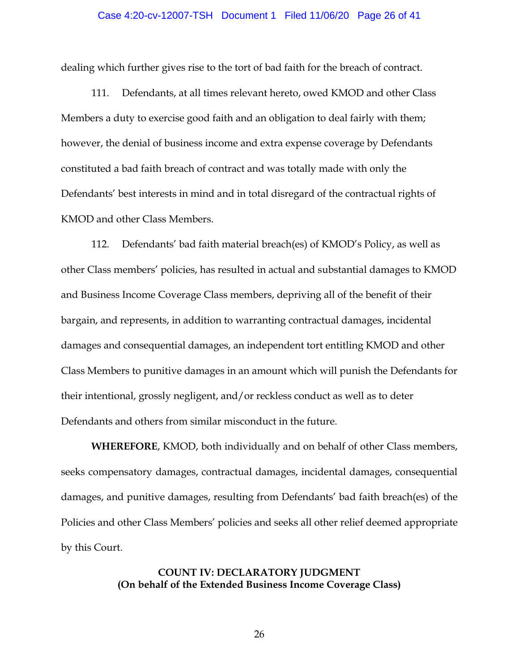#### Case 4:20-cv-12007-TSH Document 1 Filed 11/06/20 Page 26 of 41

dealing which further gives rise to the tort of bad faith for the breach of contract.

111. Defendants, at all times relevant hereto, owed KMOD and other Class Members a duty to exercise good faith and an obligation to deal fairly with them; however, the denial of business income and extra expense coverage by Defendants constituted a bad faith breach of contract and was totally made with only the Defendants' best interests in mind and in total disregard of the contractual rights of KMOD and other Class Members.

112. Defendants' bad faith material breach(es) of KMOD's Policy, as well as other Class members' policies, has resulted in actual and substantial damages to KMOD and Business Income Coverage Class members, depriving all of the benefit of their bargain, and represents, in addition to warranting contractual damages, incidental damages and consequential damages, an independent tort entitling KMOD and other Class Members to punitive damages in an amount which will punish the Defendants for their intentional, grossly negligent, and/or reckless conduct as well as to deter Defendants and others from similar misconduct in the future.

**WHEREFORE**, KMOD, both individually and on behalf of other Class members, seeks compensatory damages, contractual damages, incidental damages, consequential damages, and punitive damages, resulting from Defendants' bad faith breach(es) of the Policies and other Class Members' policies and seeks all other relief deemed appropriate by this Court.

> **COUNT IV: DECLARATORY JUDGMENT (On behalf of the Extended Business Income Coverage Class)**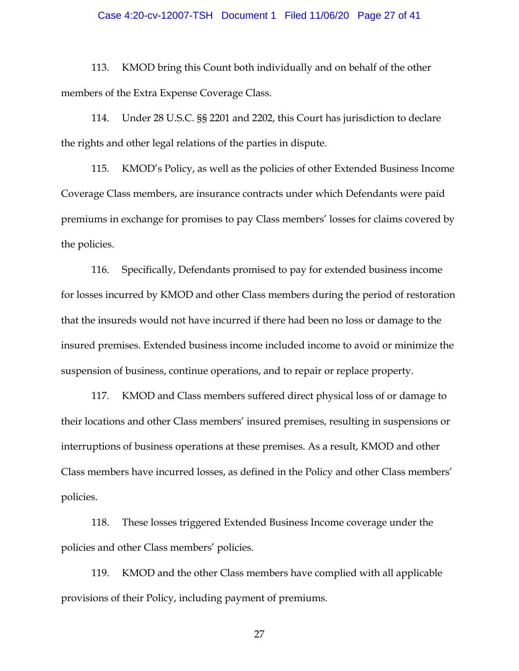## Case 4:20-cv-12007-TSH Document 1 Filed 11/06/20 Page 27 of 41

113. KMOD bring this Count both individually and on behalf of the other members of the Extra Expense Coverage Class.

114. Under 28 U.S.C. §§ 2201 and 2202, this Court has jurisdiction to declare the rights and other legal relations of the parties in dispute.

115. KMOD's Policy, as well as the policies of other Extended Business Income Coverage Class members, are insurance contracts under which Defendants were paid premiums in exchange for promises to pay Class members' losses for claims covered by the policies.

116. Specifically, Defendants promised to pay for extended business income for losses incurred by KMOD and other Class members during the period of restoration that the insureds would not have incurred if there had been no loss or damage to the insured premises. Extended business income included income to avoid or minimize the suspension of business, continue operations, and to repair or replace property.

117. KMOD and Class members suffered direct physical loss of or damage to their locations and other Class members' insured premises, resulting in suspensions or interruptions of business operations at these premises. As a result, KMOD and other Class members have incurred losses, as defined in the Policy and other Class members' policies.

118. These losses triggered Extended Business Income coverage under the policies and other Class members' policies.

119. KMOD and the other Class members have complied with all applicable provisions of their Policy, including payment of premiums.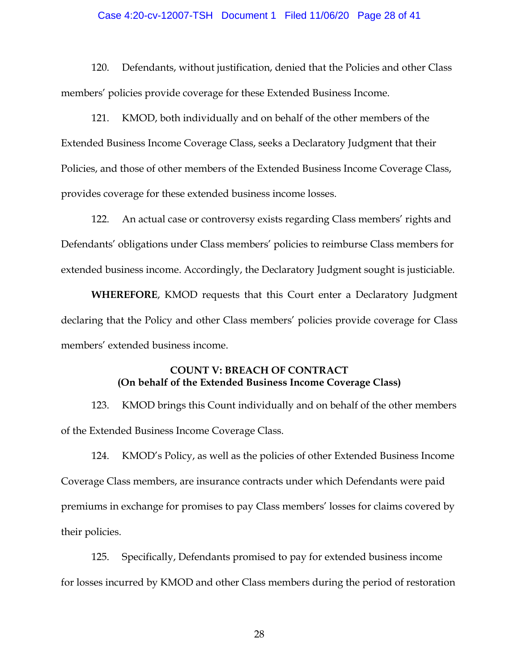## Case 4:20-cv-12007-TSH Document 1 Filed 11/06/20 Page 28 of 41

120. Defendants, without justification, denied that the Policies and other Class members' policies provide coverage for these Extended Business Income.

121. KMOD, both individually and on behalf of the other members of the Extended Business Income Coverage Class, seeks a Declaratory Judgment that their Policies, and those of other members of the Extended Business Income Coverage Class, provides coverage for these extended business income losses.

122. An actual case or controversy exists regarding Class members' rights and Defendants' obligations under Class members' policies to reimburse Class members for extended business income. Accordingly, the Declaratory Judgment sought is justiciable.

**WHEREFORE**, KMOD requests that this Court enter a Declaratory Judgment declaring that the Policy and other Class members' policies provide coverage for Class members' extended business income.

# **COUNT V: BREACH OF CONTRACT (On behalf of the Extended Business Income Coverage Class)**

123. KMOD brings this Count individually and on behalf of the other members of the Extended Business Income Coverage Class.

124. KMOD's Policy, as well as the policies of other Extended Business Income Coverage Class members, are insurance contracts under which Defendants were paid premiums in exchange for promises to pay Class members' losses for claims covered by their policies.

125. Specifically, Defendants promised to pay for extended business income for losses incurred by KMOD and other Class members during the period of restoration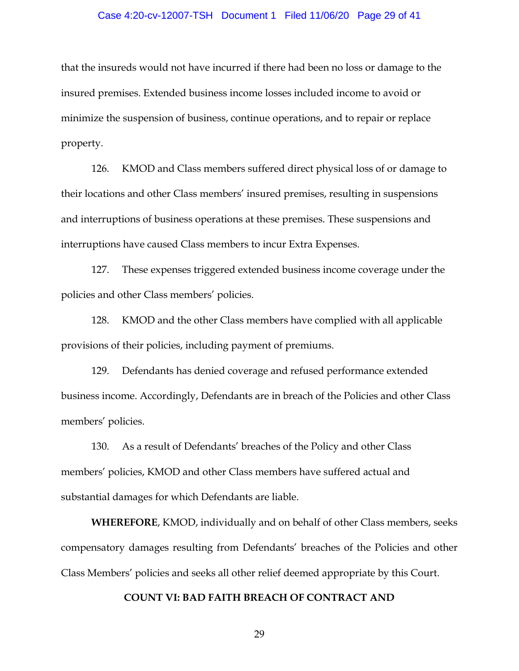## Case 4:20-cv-12007-TSH Document 1 Filed 11/06/20 Page 29 of 41

that the insureds would not have incurred if there had been no loss or damage to the insured premises. Extended business income losses included income to avoid or minimize the suspension of business, continue operations, and to repair or replace property.

126. KMOD and Class members suffered direct physical loss of or damage to their locations and other Class members' insured premises, resulting in suspensions and interruptions of business operations at these premises. These suspensions and interruptions have caused Class members to incur Extra Expenses.

127. These expenses triggered extended business income coverage under the policies and other Class members' policies.

128. KMOD and the other Class members have complied with all applicable provisions of their policies, including payment of premiums.

129. Defendants has denied coverage and refused performance extended business income. Accordingly, Defendants are in breach of the Policies and other Class members' policies.

130. As a result of Defendants' breaches of the Policy and other Class members' policies, KMOD and other Class members have suffered actual and substantial damages for which Defendants are liable.

**WHEREFORE**, KMOD, individually and on behalf of other Class members, seeks compensatory damages resulting from Defendants' breaches of the Policies and other Class Members' policies and seeks all other relief deemed appropriate by this Court.

#### **COUNT VI: BAD FAITH BREACH OF CONTRACT AND**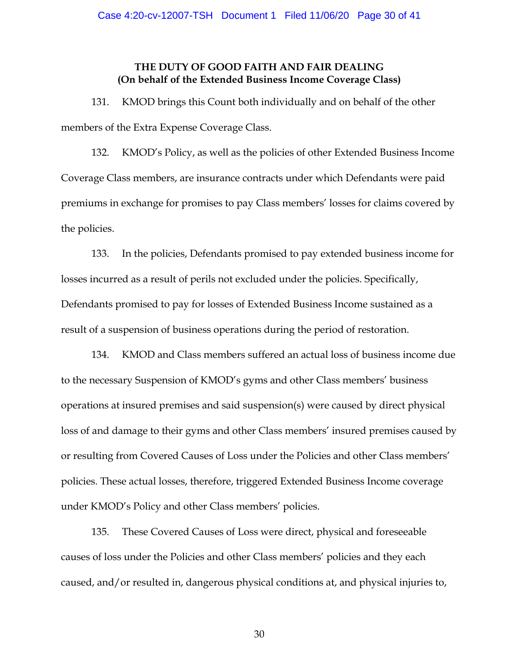## **THE DUTY OF GOOD FAITH AND FAIR DEALING (On behalf of the Extended Business Income Coverage Class)**

131. KMOD brings this Count both individually and on behalf of the other members of the Extra Expense Coverage Class.

132. KMOD's Policy, as well as the policies of other Extended Business Income Coverage Class members, are insurance contracts under which Defendants were paid premiums in exchange for promises to pay Class members' losses for claims covered by the policies.

133. In the policies, Defendants promised to pay extended business income for losses incurred as a result of perils not excluded under the policies. Specifically, Defendants promised to pay for losses of Extended Business Income sustained as a result of a suspension of business operations during the period of restoration.

134. KMOD and Class members suffered an actual loss of business income due to the necessary Suspension of KMOD's gyms and other Class members' business operations at insured premises and said suspension(s) were caused by direct physical loss of and damage to their gyms and other Class members' insured premises caused by or resulting from Covered Causes of Loss under the Policies and other Class members' policies. These actual losses, therefore, triggered Extended Business Income coverage under KMOD's Policy and other Class members' policies.

135. These Covered Causes of Loss were direct, physical and foreseeable causes of loss under the Policies and other Class members' policies and they each caused, and/or resulted in, dangerous physical conditions at, and physical injuries to,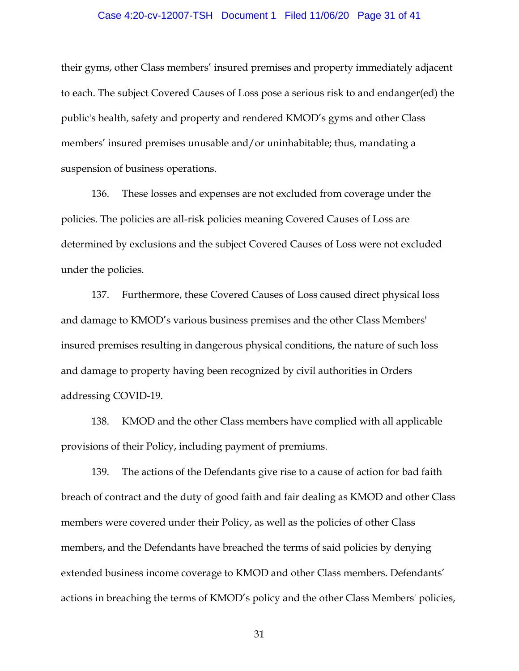## Case 4:20-cv-12007-TSH Document 1 Filed 11/06/20 Page 31 of 41

their gyms, other Class members' insured premises and property immediately adjacent to each. The subject Covered Causes of Loss pose a serious risk to and endanger(ed) the public's health, safety and property and rendered KMOD's gyms and other Class members' insured premises unusable and/or uninhabitable; thus, mandating a suspension of business operations.

136. These losses and expenses are not excluded from coverage under the policies. The policies are all-risk policies meaning Covered Causes of Loss are determined by exclusions and the subject Covered Causes of Loss were not excluded under the policies.

137. Furthermore, these Covered Causes of Loss caused direct physical loss and damage to KMOD's various business premises and the other Class Members' insured premises resulting in dangerous physical conditions, the nature of such loss and damage to property having been recognized by civil authorities in Orders addressing COVID-19.

138. KMOD and the other Class members have complied with all applicable provisions of their Policy, including payment of premiums.

139. The actions of the Defendants give rise to a cause of action for bad faith breach of contract and the duty of good faith and fair dealing as KMOD and other Class members were covered under their Policy, as well as the policies of other Class members, and the Defendants have breached the terms of said policies by denying extended business income coverage to KMOD and other Class members. Defendants' actions in breaching the terms of KMOD's policy and the other Class Members' policies,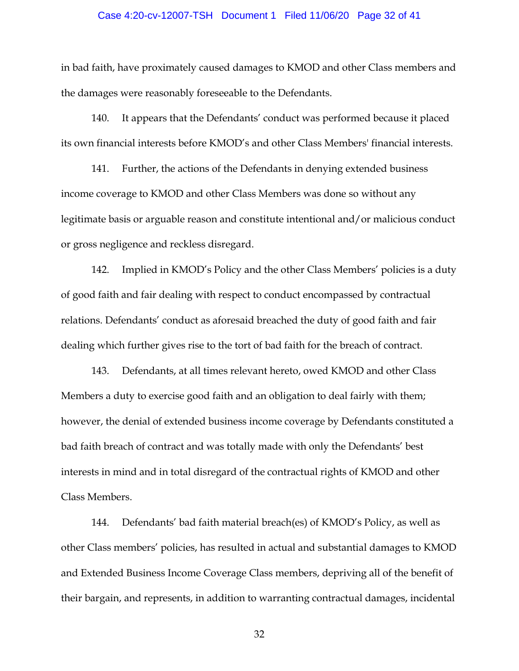## Case 4:20-cv-12007-TSH Document 1 Filed 11/06/20 Page 32 of 41

in bad faith, have proximately caused damages to KMOD and other Class members and the damages were reasonably foreseeable to the Defendants.

140. It appears that the Defendants' conduct was performed because it placed its own financial interests before KMOD's and other Class Members' financial interests.

141. Further, the actions of the Defendants in denying extended business income coverage to KMOD and other Class Members was done so without any legitimate basis or arguable reason and constitute intentional and/or malicious conduct or gross negligence and reckless disregard.

142. Implied in KMOD's Policy and the other Class Members' policies is a duty of good faith and fair dealing with respect to conduct encompassed by contractual relations. Defendants' conduct as aforesaid breached the duty of good faith and fair dealing which further gives rise to the tort of bad faith for the breach of contract.

143. Defendants, at all times relevant hereto, owed KMOD and other Class Members a duty to exercise good faith and an obligation to deal fairly with them; however, the denial of extended business income coverage by Defendants constituted a bad faith breach of contract and was totally made with only the Defendants' best interests in mind and in total disregard of the contractual rights of KMOD and other Class Members.

144. Defendants' bad faith material breach(es) of KMOD's Policy, as well as other Class members' policies, has resulted in actual and substantial damages to KMOD and Extended Business Income Coverage Class members, depriving all of the benefit of their bargain, and represents, in addition to warranting contractual damages, incidental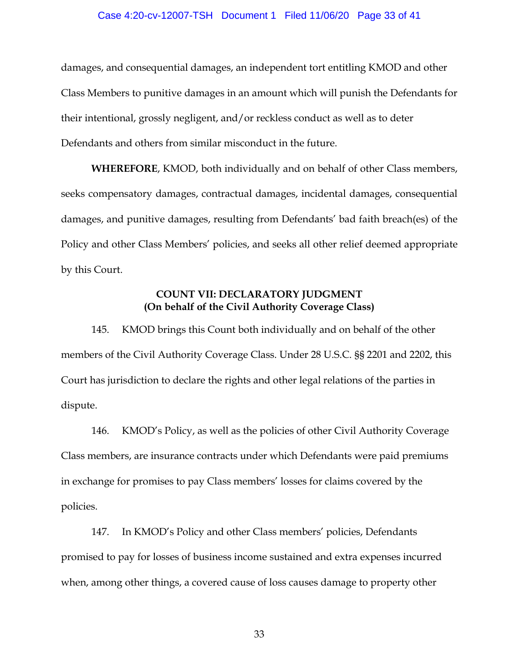## Case 4:20-cv-12007-TSH Document 1 Filed 11/06/20 Page 33 of 41

damages, and consequential damages, an independent tort entitling KMOD and other Class Members to punitive damages in an amount which will punish the Defendants for their intentional, grossly negligent, and/or reckless conduct as well as to deter Defendants and others from similar misconduct in the future.

**WHEREFORE**, KMOD, both individually and on behalf of other Class members, seeks compensatory damages, contractual damages, incidental damages, consequential damages, and punitive damages, resulting from Defendants' bad faith breach(es) of the Policy and other Class Members' policies, and seeks all other relief deemed appropriate by this Court.

# **COUNT VII: DECLARATORY JUDGMENT (On behalf of the Civil Authority Coverage Class)**

145. KMOD brings this Count both individually and on behalf of the other members of the Civil Authority Coverage Class. Under 28 U.S.C. §§ 2201 and 2202, this Court has jurisdiction to declare the rights and other legal relations of the parties in dispute.

146. KMOD's Policy, as well as the policies of other Civil Authority Coverage Class members, are insurance contracts under which Defendants were paid premiums in exchange for promises to pay Class members' losses for claims covered by the policies.

147. In KMOD's Policy and other Class members' policies, Defendants promised to pay for losses of business income sustained and extra expenses incurred when, among other things, a covered cause of loss causes damage to property other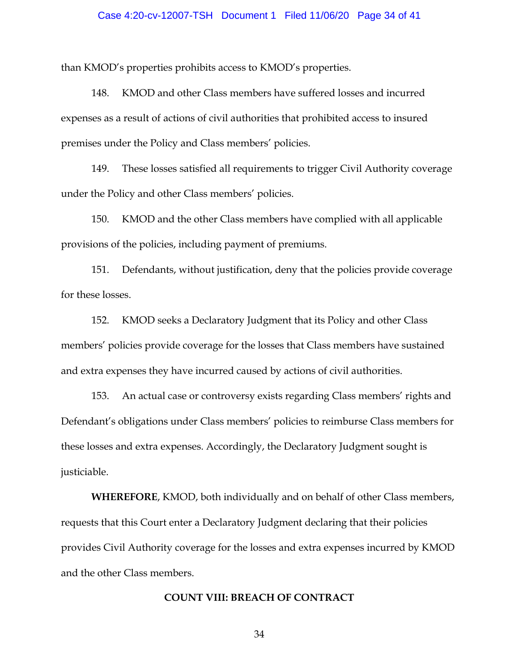## Case 4:20-cv-12007-TSH Document 1 Filed 11/06/20 Page 34 of 41

than KMOD's properties prohibits access to KMOD's properties.

148. KMOD and other Class members have suffered losses and incurred expenses as a result of actions of civil authorities that prohibited access to insured premises under the Policy and Class members' policies.

149. These losses satisfied all requirements to trigger Civil Authority coverage under the Policy and other Class members' policies.

150. KMOD and the other Class members have complied with all applicable provisions of the policies, including payment of premiums.

151. Defendants, without justification, deny that the policies provide coverage for these losses.

152. KMOD seeks a Declaratory Judgment that its Policy and other Class members' policies provide coverage for the losses that Class members have sustained and extra expenses they have incurred caused by actions of civil authorities.

153. An actual case or controversy exists regarding Class members' rights and Defendant's obligations under Class members' policies to reimburse Class members for these losses and extra expenses. Accordingly, the Declaratory Judgment sought is justiciable.

**WHEREFORE**, KMOD, both individually and on behalf of other Class members, requests that this Court enter a Declaratory Judgment declaring that their policies provides Civil Authority coverage for the losses and extra expenses incurred by KMOD and the other Class members.

#### **COUNT VIII: BREACH OF CONTRACT**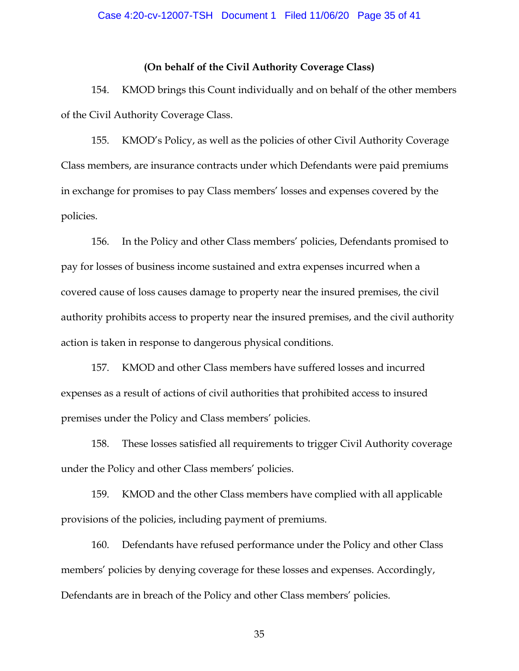#### **(On behalf of the Civil Authority Coverage Class)**

154. KMOD brings this Count individually and on behalf of the other members of the Civil Authority Coverage Class.

155. KMOD's Policy, as well as the policies of other Civil Authority Coverage Class members, are insurance contracts under which Defendants were paid premiums in exchange for promises to pay Class members' losses and expenses covered by the policies.

156. In the Policy and other Class members' policies, Defendants promised to pay for losses of business income sustained and extra expenses incurred when a covered cause of loss causes damage to property near the insured premises, the civil authority prohibits access to property near the insured premises, and the civil authority action is taken in response to dangerous physical conditions.

157. KMOD and other Class members have suffered losses and incurred expenses as a result of actions of civil authorities that prohibited access to insured premises under the Policy and Class members' policies.

158. These losses satisfied all requirements to trigger Civil Authority coverage under the Policy and other Class members' policies.

159. KMOD and the other Class members have complied with all applicable provisions of the policies, including payment of premiums.

160. Defendants have refused performance under the Policy and other Class members' policies by denying coverage for these losses and expenses. Accordingly, Defendants are in breach of the Policy and other Class members' policies.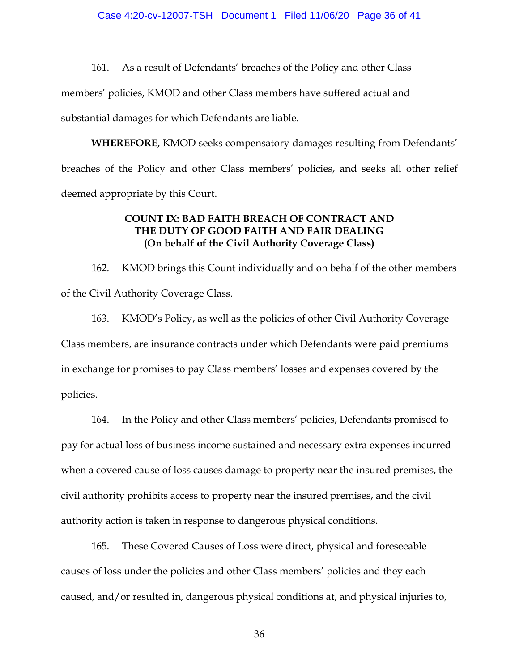161. As a result of Defendants' breaches of the Policy and other Class members' policies, KMOD and other Class members have suffered actual and substantial damages for which Defendants are liable.

**WHEREFORE**, KMOD seeks compensatory damages resulting from Defendants' breaches of the Policy and other Class members' policies, and seeks all other relief deemed appropriate by this Court.

## **COUNT IX: BAD FAITH BREACH OF CONTRACT AND THE DUTY OF GOOD FAITH AND FAIR DEALING (On behalf of the Civil Authority Coverage Class)**

162. KMOD brings this Count individually and on behalf of the other members of the Civil Authority Coverage Class.

163. KMOD's Policy, as well as the policies of other Civil Authority Coverage Class members, are insurance contracts under which Defendants were paid premiums in exchange for promises to pay Class members' losses and expenses covered by the policies.

164. In the Policy and other Class members' policies, Defendants promised to pay for actual loss of business income sustained and necessary extra expenses incurred when a covered cause of loss causes damage to property near the insured premises, the civil authority prohibits access to property near the insured premises, and the civil authority action is taken in response to dangerous physical conditions.

165. These Covered Causes of Loss were direct, physical and foreseeable causes of loss under the policies and other Class members' policies and they each caused, and/or resulted in, dangerous physical conditions at, and physical injuries to,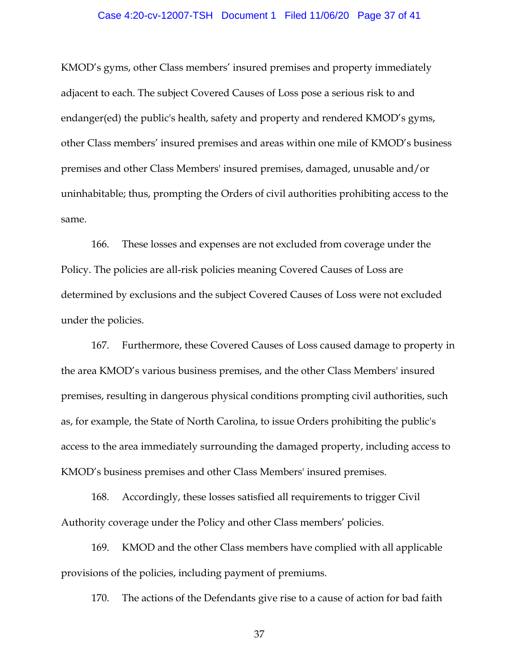## Case 4:20-cv-12007-TSH Document 1 Filed 11/06/20 Page 37 of 41

KMOD's gyms, other Class members' insured premises and property immediately adjacent to each. The subject Covered Causes of Loss pose a serious risk to and endanger(ed) the public's health, safety and property and rendered KMOD's gyms, other Class members' insured premises and areas within one mile of KMOD's business premises and other Class Members' insured premises, damaged, unusable and/or uninhabitable; thus, prompting the Orders of civil authorities prohibiting access to the same.

166. These losses and expenses are not excluded from coverage under the Policy. The policies are all-risk policies meaning Covered Causes of Loss are determined by exclusions and the subject Covered Causes of Loss were not excluded under the policies.

167. Furthermore, these Covered Causes of Loss caused damage to property in the area KMOD's various business premises, and the other Class Members' insured premises, resulting in dangerous physical conditions prompting civil authorities, such as, for example, the State of North Carolina, to issue Orders prohibiting the public's access to the area immediately surrounding the damaged property, including access to KMOD's business premises and other Class Members' insured premises.

168. Accordingly, these losses satisfied all requirements to trigger Civil Authority coverage under the Policy and other Class members' policies.

169. KMOD and the other Class members have complied with all applicable provisions of the policies, including payment of premiums.

170. The actions of the Defendants give rise to a cause of action for bad faith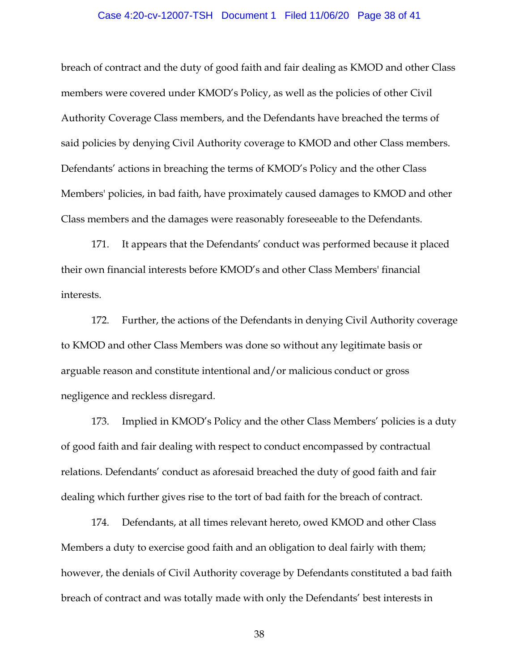## Case 4:20-cv-12007-TSH Document 1 Filed 11/06/20 Page 38 of 41

breach of contract and the duty of good faith and fair dealing as KMOD and other Class members were covered under KMOD's Policy, as well as the policies of other Civil Authority Coverage Class members, and the Defendants have breached the terms of said policies by denying Civil Authority coverage to KMOD and other Class members. Defendants' actions in breaching the terms of KMOD's Policy and the other Class Members' policies, in bad faith, have proximately caused damages to KMOD and other Class members and the damages were reasonably foreseeable to the Defendants.

171. It appears that the Defendants' conduct was performed because it placed their own financial interests before KMOD's and other Class Members' financial interests.

172. Further, the actions of the Defendants in denying Civil Authority coverage to KMOD and other Class Members was done so without any legitimate basis or arguable reason and constitute intentional and/or malicious conduct or gross negligence and reckless disregard.

173. Implied in KMOD's Policy and the other Class Members' policies is a duty of good faith and fair dealing with respect to conduct encompassed by contractual relations. Defendants' conduct as aforesaid breached the duty of good faith and fair dealing which further gives rise to the tort of bad faith for the breach of contract.

174. Defendants, at all times relevant hereto, owed KMOD and other Class Members a duty to exercise good faith and an obligation to deal fairly with them; however, the denials of Civil Authority coverage by Defendants constituted a bad faith breach of contract and was totally made with only the Defendants' best interests in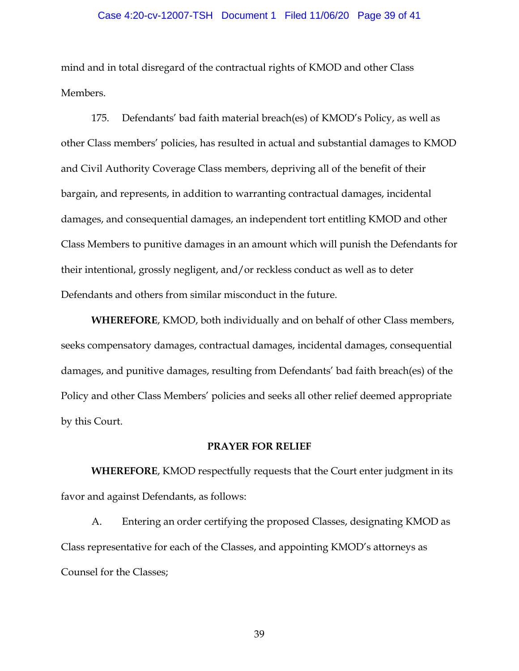## Case 4:20-cv-12007-TSH Document 1 Filed 11/06/20 Page 39 of 41

mind and in total disregard of the contractual rights of KMOD and other Class Members.

175. Defendants' bad faith material breach(es) of KMOD's Policy, as well as other Class members' policies, has resulted in actual and substantial damages to KMOD and Civil Authority Coverage Class members, depriving all of the benefit of their bargain, and represents, in addition to warranting contractual damages, incidental damages, and consequential damages, an independent tort entitling KMOD and other Class Members to punitive damages in an amount which will punish the Defendants for their intentional, grossly negligent, and/or reckless conduct as well as to deter Defendants and others from similar misconduct in the future.

**WHEREFORE**, KMOD, both individually and on behalf of other Class members, seeks compensatory damages, contractual damages, incidental damages, consequential damages, and punitive damages, resulting from Defendants' bad faith breach(es) of the Policy and other Class Members' policies and seeks all other relief deemed appropriate by this Court.

#### **PRAYER FOR RELIEF**

**WHEREFORE**, KMOD respectfully requests that the Court enter judgment in its favor and against Defendants, as follows:

A. Entering an order certifying the proposed Classes, designating KMOD as Class representative for each of the Classes, and appointing KMOD's attorneys as Counsel for the Classes;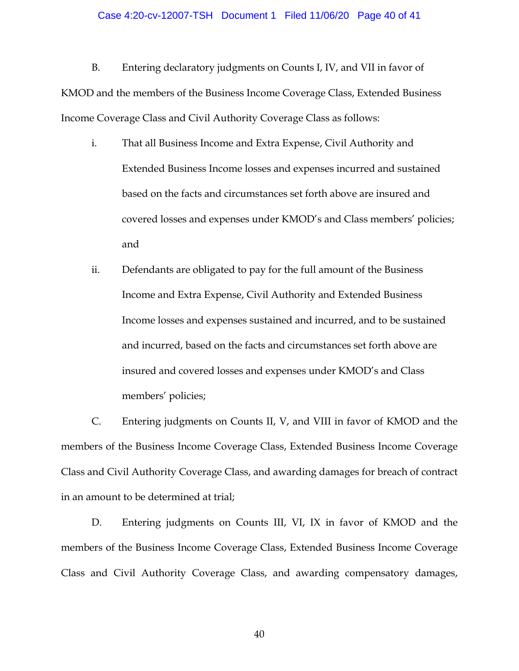## Case 4:20-cv-12007-TSH Document 1 Filed 11/06/20 Page 40 of 41

B. Entering declaratory judgments on Counts I, IV, and VII in favor of KMOD and the members of the Business Income Coverage Class, Extended Business Income Coverage Class and Civil Authority Coverage Class as follows:

- i. That all Business Income and Extra Expense, Civil Authority and Extended Business Income losses and expenses incurred and sustained based on the facts and circumstances set forth above are insured and covered losses and expenses under KMOD's and Class members' policies; and
- ii. Defendants are obligated to pay for the full amount of the Business Income and Extra Expense, Civil Authority and Extended Business Income losses and expenses sustained and incurred, and to be sustained and incurred, based on the facts and circumstances set forth above are insured and covered losses and expenses under KMOD's and Class members' policies;

C. Entering judgments on Counts II, V, and VIII in favor of KMOD and the members of the Business Income Coverage Class, Extended Business Income Coverage Class and Civil Authority Coverage Class, and awarding damages for breach of contract in an amount to be determined at trial;

D. Entering judgments on Counts III, VI, IX in favor of KMOD and the members of the Business Income Coverage Class, Extended Business Income Coverage Class and Civil Authority Coverage Class, and awarding compensatory damages,